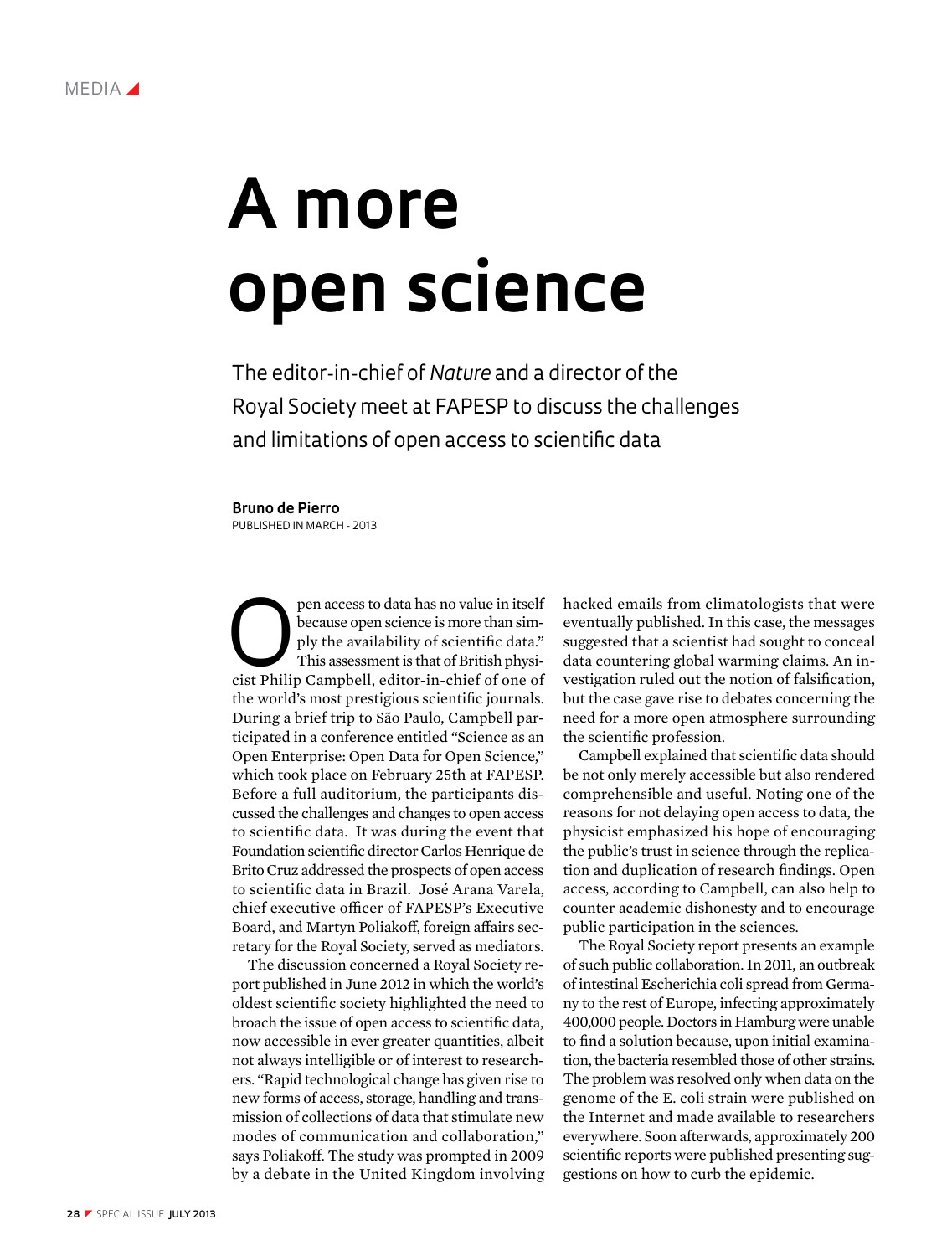

## **A more open science**

The editor-in-chief of *Nature* and a director of the Royal Society meet at FAPESP to discuss the challenges and limitations of open access to scientific data

## **Bruno de Pierro**

Published in March - 2013

pen access to data has no value in itself<br>because open science is more than sim-<br>ply the availability of scientific data."<br>This assessment is that of British physi-<br>cist Philin Campbell, editor-in-chief of one of because open science is more than simply the availability of scientific data." This assessment is that of British physicist Philip Campbell, editor-in-chief of one of the world's most prestigious scientific journals. During a brief trip to São Paulo, Campbell participated in a conference entitled "Science as an Open Enterprise: Open Data for Open Science," which took place on February 25th at FAPESP. Before a full auditorium, the participants discussed the challenges and changes to open access to scientific data. It was during the event that Foundation scientific director Carlos Henrique de Brito Cruz addressed the prospects of open access to scientific data in Brazil. José Arana Varela, chief executive officer of FAPESP's Executive Board, and Martyn Poliakoff, foreign affairs secretary for the Royal Society, served as mediators.

The discussion concerned a Royal Society report published in June 2012 in which the world's oldest scientific society highlighted the need to broach the issue of open access to scientific data, now accessible in ever greater quantities, albeit not always intelligible or of interest to researchers. "Rapid technological change has given rise to new forms of access, storage, handling and transmission of collections of data that stimulate new modes of communication and collaboration," says Poliakoff. The study was prompted in 2009 by a debate in the United Kingdom involving hacked emails from climatologists that were eventually published. In this case, the messages suggested that a scientist had sought to conceal data countering global warming claims. An investigation ruled out the notion of falsification, but the case gave rise to debates concerning the need for a more open atmosphere surrounding the scientific profession.

Campbell explained that scientific data should be not only merely accessible but also rendered comprehensible and useful. Noting one of the reasons for not delaying open access to data, the physicist emphasized his hope of encouraging the public's trust in science through the replication and duplication of research findings. Open access, according to Campbell, can also help to counter academic dishonesty and to encourage public participation in the sciences.

The Royal Society report presents an example of such public collaboration. In 2011, an outbreak of intestinal Escherichia coli spread from Germany to the rest of Europe, infecting approximately 400,000 people. Doctors in Hamburg were unable to find a solution because, upon initial examination, the bacteria resembled those of other strains. The problem was resolved only when data on the genome of the E. coli strain were published on the Internet and made available to researchers everywhere. Soon afterwards, approximately 200 scientific reports were published presenting suggestions on how to curb the epidemic.